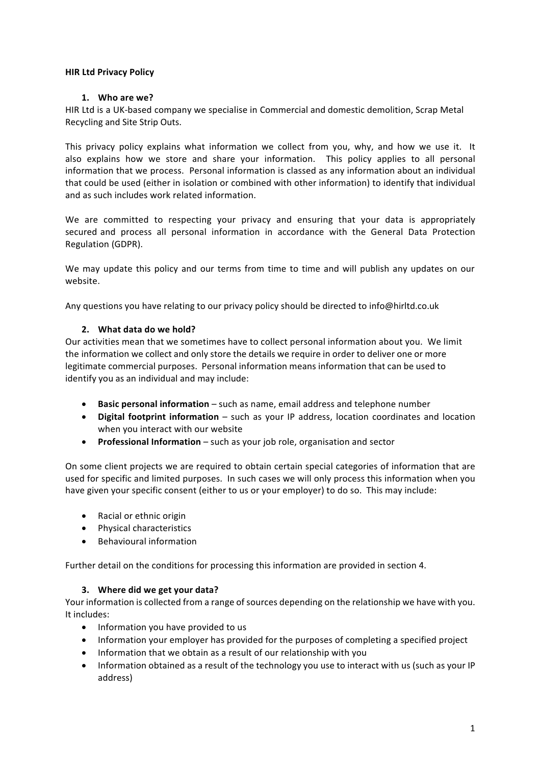## **HIR Ltd Privacy Policy**

## **1. Who are we?**

HIR Ltd is a UK-based company we specialise in Commercial and domestic demolition, Scrap Metal Recycling and Site Strip Outs.

This privacy policy explains what information we collect from you, why, and how we use it. It also explains how we store and share your information. This policy applies to all personal information that we process. Personal information is classed as any information about an individual that could be used (either in isolation or combined with other information) to identify that individual and as such includes work related information.

We are committed to respecting your privacy and ensuring that your data is appropriately secured and process all personal information in accordance with the General Data Protection Regulation (GDPR). 

We may update this policy and our terms from time to time and will publish any updates on our website. 

Any questions you have relating to our privacy policy should be directed to info@hirltd.co.uk

## **2. What data do we hold?**

Our activities mean that we sometimes have to collect personal information about you. We limit the information we collect and only store the details we require in order to deliver one or more legitimate commercial purposes. Personal information means information that can be used to identify you as an individual and may include:

- **Basic personal information** such as name, email address and telephone number
- Digital footprint information such as your IP address, location coordinates and location when you interact with our website
- Professional Information such as your job role, organisation and sector

On some client projects we are required to obtain certain special categories of information that are used for specific and limited purposes. In such cases we will only process this information when you have given your specific consent (either to us or your employer) to do so. This may include:

- Racial or ethnic origin
- Physical characteristics
- Behavioural information

Further detail on the conditions for processing this information are provided in section 4.

#### **3. Where did we get your data?**

Your information is collected from a range of sources depending on the relationship we have with you. It includes:

- Information you have provided to us
- Information your employer has provided for the purposes of completing a specified project
- Information that we obtain as a result of our relationship with you
- Information obtained as a result of the technology you use to interact with us (such as your IP address)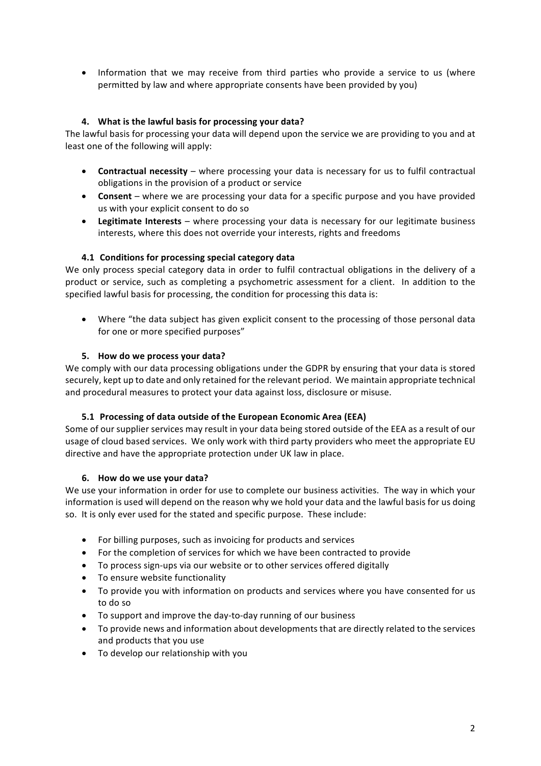• Information that we may receive from third parties who provide a service to us (where permitted by law and where appropriate consents have been provided by you)

## **4.** What is the lawful basis for processing your data?

The lawful basis for processing your data will depend upon the service we are providing to you and at least one of the following will apply:

- **Contractual necessity** where processing your data is necessary for us to fulfil contractual obligations in the provision of a product or service
- **Consent** where we are processing your data for a specific purpose and you have provided us with your explicit consent to do so
- Legitimate Interests where processing your data is necessary for our legitimate business interests, where this does not override your interests, rights and freedoms

## **4.1 Conditions for processing special category data**

We only process special category data in order to fulfil contractual obligations in the delivery of a product or service, such as completing a psychometric assessment for a client. In addition to the specified lawful basis for processing, the condition for processing this data is:

• Where "the data subject has given explicit consent to the processing of those personal data for one or more specified purposes"

## **5. How do we process your data?**

We comply with our data processing obligations under the GDPR by ensuring that your data is stored securely, kept up to date and only retained for the relevant period. We maintain appropriate technical and procedural measures to protect your data against loss, disclosure or misuse.

#### **5.1 Processing of data outside of the European Economic Area (EEA)**

Some of our supplier services may result in your data being stored outside of the EEA as a result of our usage of cloud based services. We only work with third party providers who meet the appropriate EU directive and have the appropriate protection under UK law in place.

#### **6. How do we use your data?**

We use your information in order for use to complete our business activities. The way in which your information is used will depend on the reason why we hold your data and the lawful basis for us doing so. It is only ever used for the stated and specific purpose. These include:

- For billing purposes, such as invoicing for products and services
- For the completion of services for which we have been contracted to provide
- To process sign-ups via our website or to other services offered digitally
- To ensure website functionality
- To provide you with information on products and services where you have consented for us to do so
- To support and improve the day-to-day running of our business
- To provide news and information about developments that are directly related to the services and products that you use
- To develop our relationship with you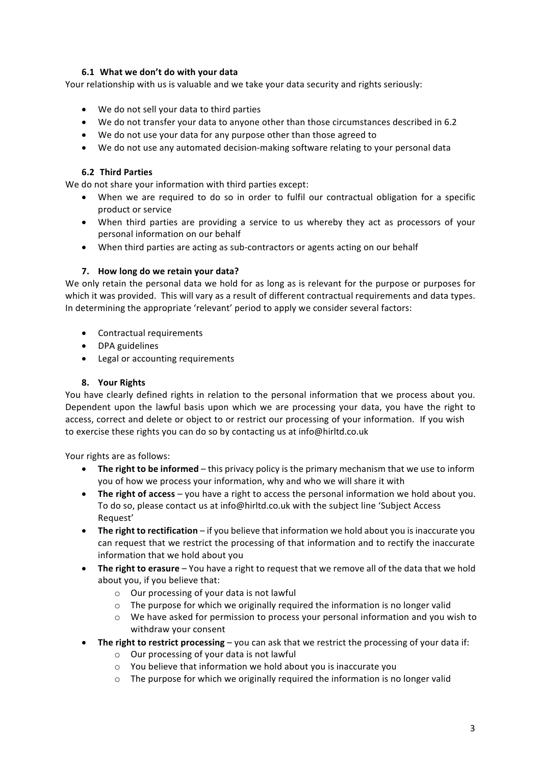# **6.1 What we don't do with your data**

Your relationship with us is valuable and we take your data security and rights seriously:

- We do not sell your data to third parties
- We do not transfer your data to anyone other than those circumstances described in 6.2
- We do not use your data for any purpose other than those agreed to
- We do not use any automated decision-making software relating to your personal data

## **6.2 Third Parties**

We do not share your information with third parties except:

- When we are required to do so in order to fulfil our contractual obligation for a specific product or service
- When third parties are providing a service to us whereby they act as processors of your personal information on our behalf
- When third parties are acting as sub-contractors or agents acting on our behalf

## **7. How long do we retain your data?**

We only retain the personal data we hold for as long as is relevant for the purpose or purposes for which it was provided. This will vary as a result of different contractual requirements and data types. In determining the appropriate 'relevant' period to apply we consider several factors:

- Contractual requirements
- DPA guidelines
- Legal or accounting requirements

### **8. Your Rights**

You have clearly defined rights in relation to the personal information that we process about you. Dependent upon the lawful basis upon which we are processing your data, you have the right to access, correct and delete or object to or restrict our processing of your information. If you wish to exercise these rights you can do so by contacting us at info@hirltd.co.uk

Your rights are as follows:

- The right to be informed this privacy policy is the primary mechanism that we use to inform you of how we process your information, why and who we will share it with
- The right of access you have a right to access the personal information we hold about you. To do so, please contact us at info@hirltd.co.uk with the subject line 'Subject Access Request'
- The right to rectification if you believe that information we hold about you is inaccurate you can request that we restrict the processing of that information and to rectify the inaccurate information that we hold about you
- The right to erasure You have a right to request that we remove all of the data that we hold about you, if you believe that:
	- o Our processing of your data is not lawful
	- $\circ$  The purpose for which we originally required the information is no longer valid
	- $\circ$  We have asked for permission to process your personal information and you wish to withdraw your consent
- The right to restrict processing you can ask that we restrict the processing of your data if:
	- o Our processing of your data is not lawful
	- $\circ$  You believe that information we hold about you is inaccurate you
	- $\circ$  The purpose for which we originally required the information is no longer valid